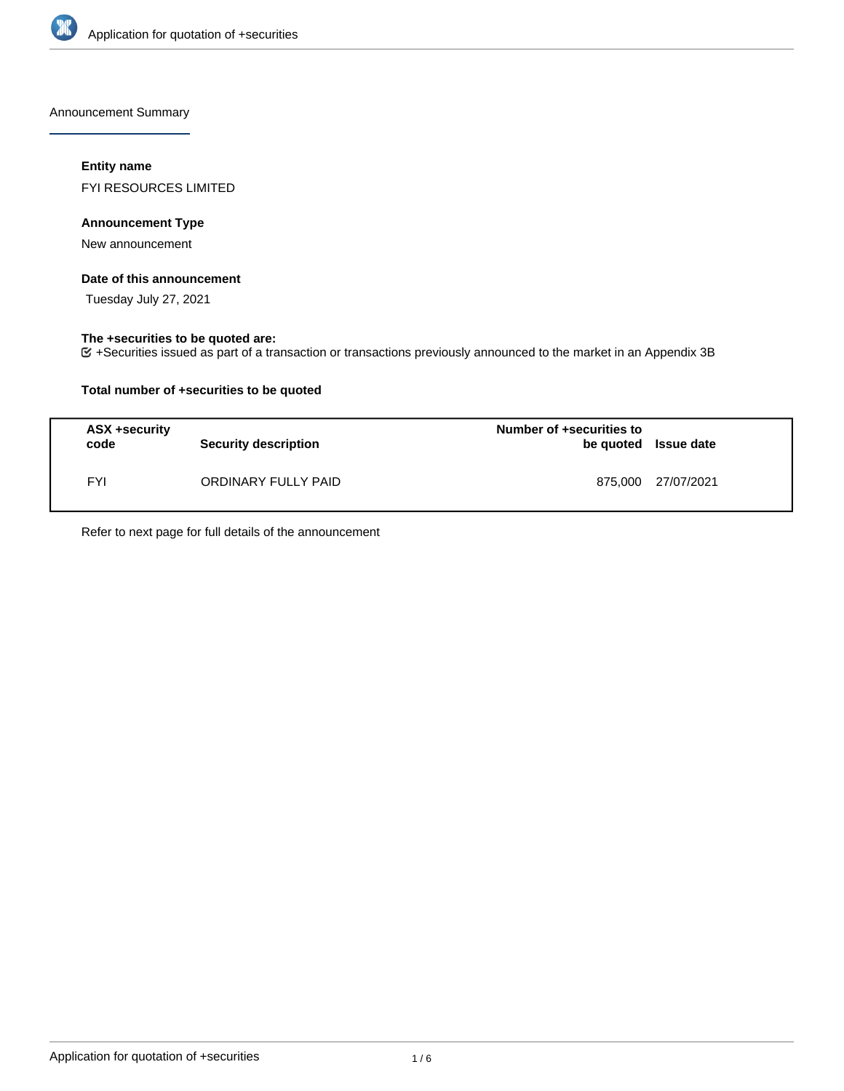

Announcement Summary

## **Entity name**

FYI RESOURCES LIMITED

## **Announcement Type**

New announcement

## **Date of this announcement**

Tuesday July 27, 2021

# **The +securities to be quoted are:**

+Securities issued as part of a transaction or transactions previously announced to the market in an Appendix 3B

## **Total number of +securities to be quoted**

| ASX +security<br>code | <b>Security description</b> | Number of +securities to<br>be quoted Issue date |                    |
|-----------------------|-----------------------------|--------------------------------------------------|--------------------|
| <b>FYI</b>            | ORDINARY FULLY PAID         |                                                  | 875,000 27/07/2021 |

Refer to next page for full details of the announcement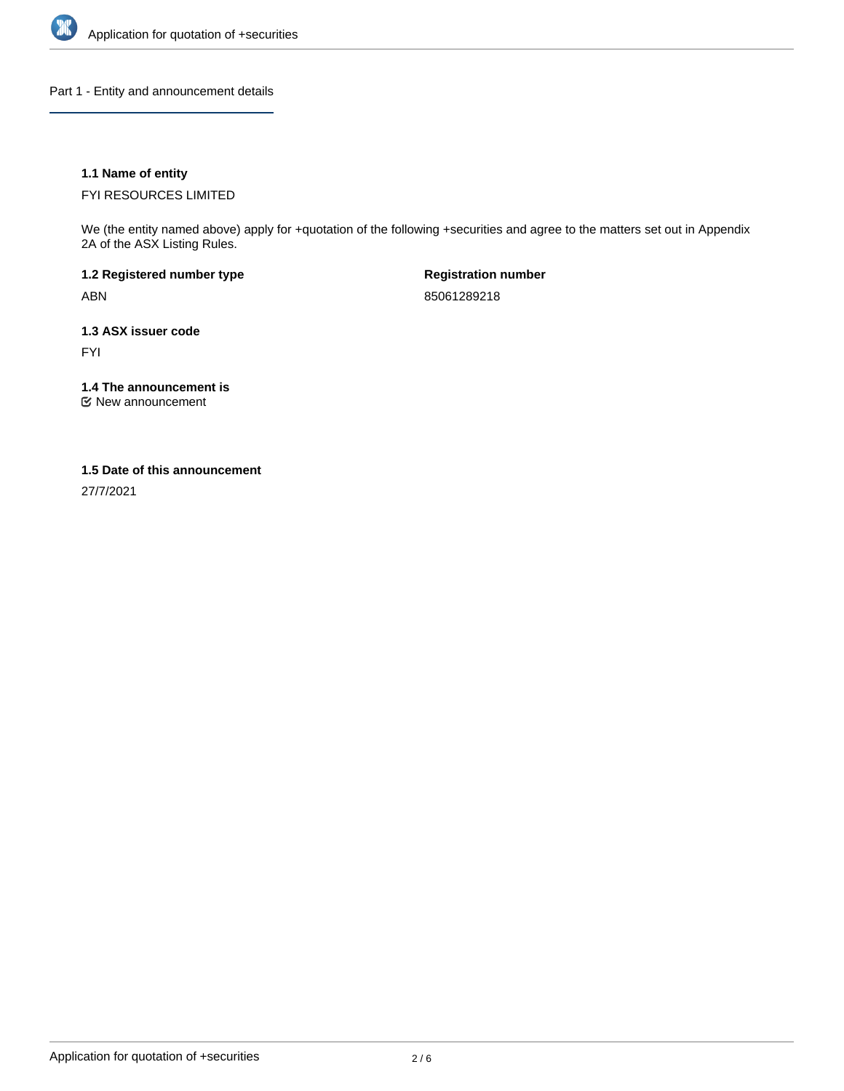

Part 1 - Entity and announcement details

## **1.1 Name of entity**

FYI RESOURCES LIMITED

We (the entity named above) apply for +quotation of the following +securities and agree to the matters set out in Appendix 2A of the ASX Listing Rules.

**1.2 Registered number type** ABN

**Registration number** 85061289218

**1.3 ASX issuer code** FYI

**1.4 The announcement is**

New announcement

#### **1.5 Date of this announcement**

27/7/2021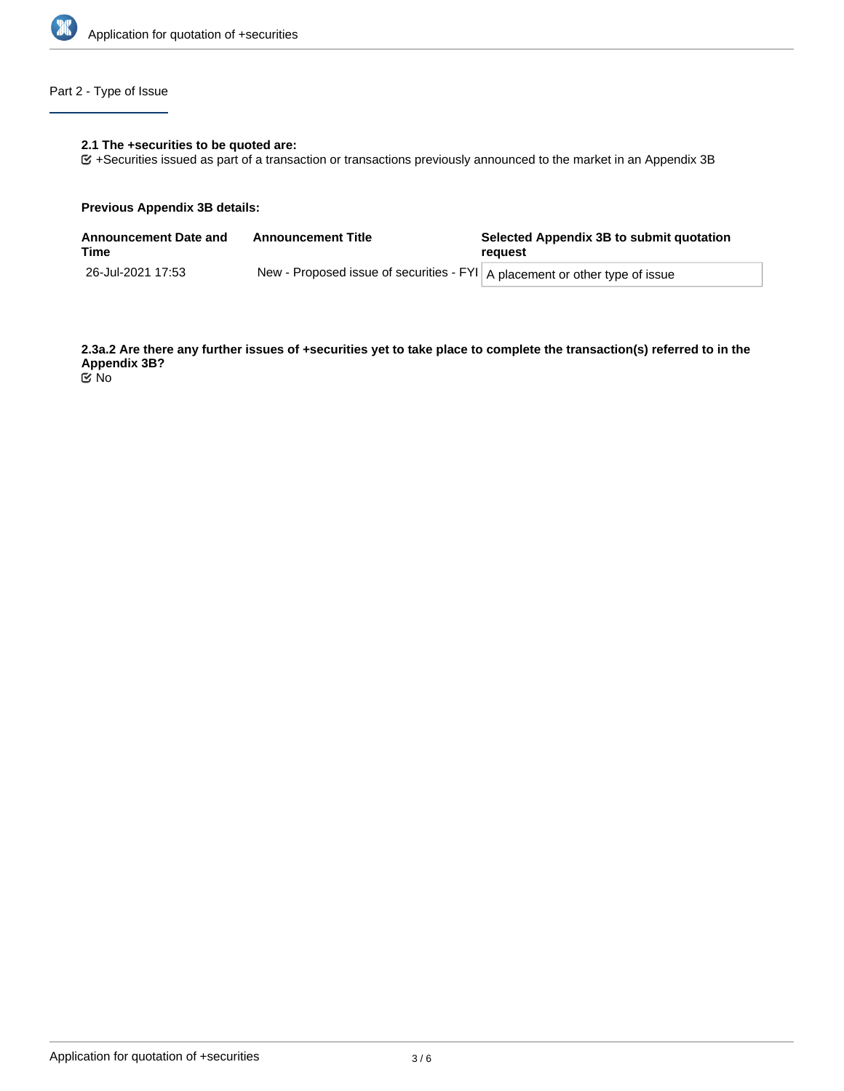

# Part 2 - Type of Issue

## **2.1 The +securities to be quoted are:**

+Securities issued as part of a transaction or transactions previously announced to the market in an Appendix 3B

#### **Previous Appendix 3B details:**

| <b>Announcement Date and</b><br>Time | <b>Announcement Title</b>                                                     | Selected Appendix 3B to submit quotation<br>reguest |
|--------------------------------------|-------------------------------------------------------------------------------|-----------------------------------------------------|
| 26-Jul-2021 17:53                    | New - Proposed issue of securities - FYI   A placement or other type of issue |                                                     |

**2.3a.2 Are there any further issues of +securities yet to take place to complete the transaction(s) referred to in the Appendix 3B?**

No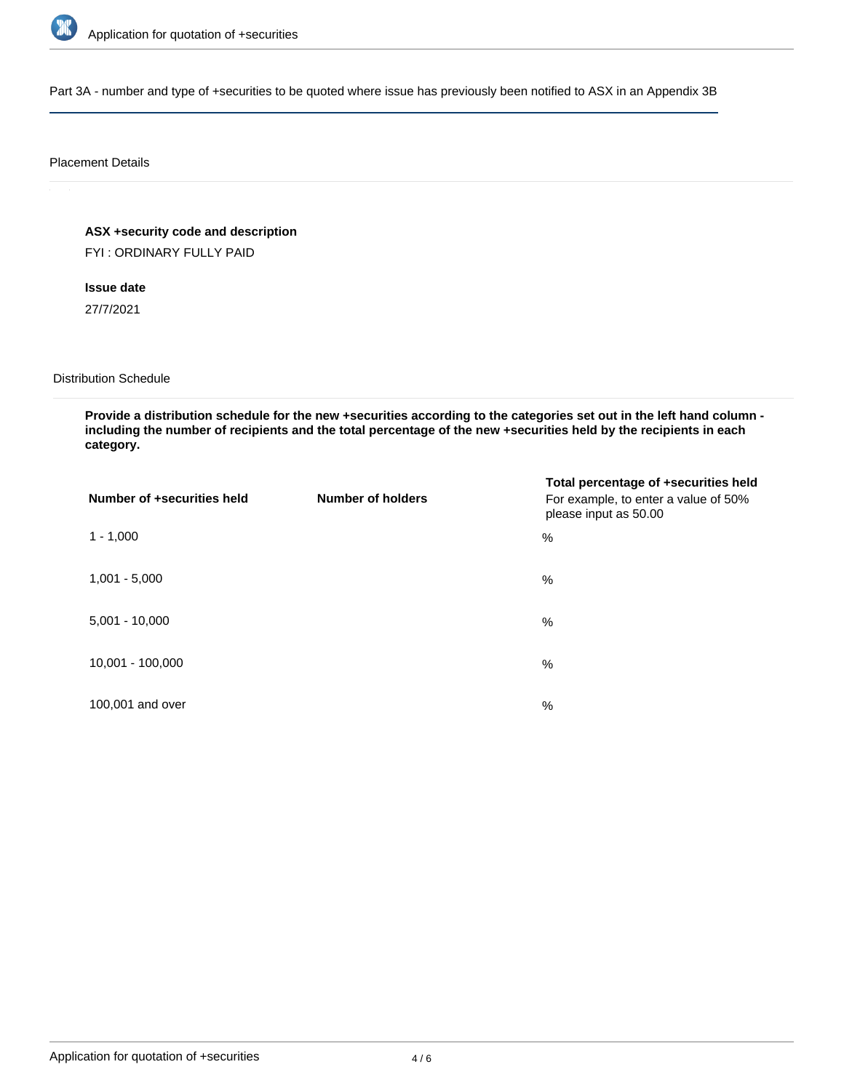

Part 3A - number and type of +securities to be quoted where issue has previously been notified to ASX in an Appendix 3B

#### Placement Details

**ASX +security code and description**

FYI : ORDINARY FULLY PAID

**Issue date**

27/7/2021

Distribution Schedule

**Provide a distribution schedule for the new +securities according to the categories set out in the left hand column including the number of recipients and the total percentage of the new +securities held by the recipients in each category.**

| Number of +securities held | <b>Number of holders</b> | Total percentage of +securities held<br>For example, to enter a value of 50%<br>please input as 50.00 |
|----------------------------|--------------------------|-------------------------------------------------------------------------------------------------------|
| $1 - 1,000$                |                          | %                                                                                                     |
| $1,001 - 5,000$            |                          | $\%$                                                                                                  |
| $5,001 - 10,000$           |                          | %                                                                                                     |
| 10,001 - 100,000           |                          | %                                                                                                     |
| 100,001 and over           |                          | %                                                                                                     |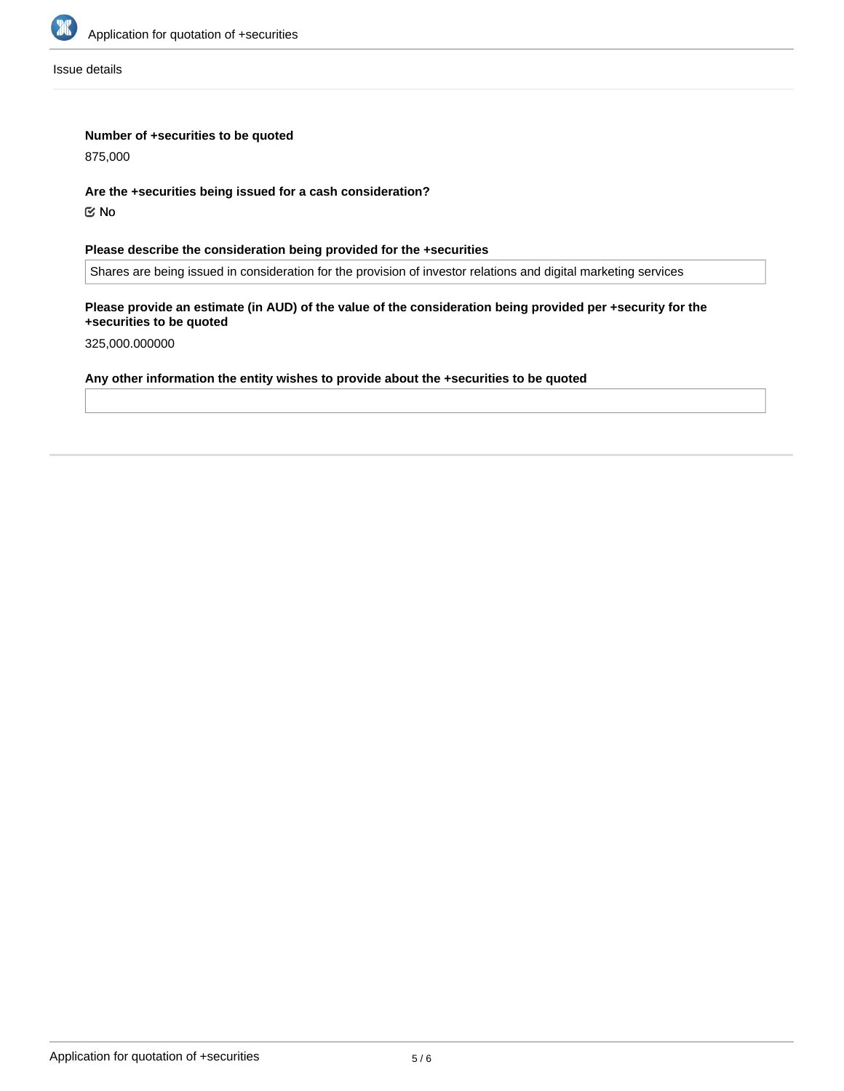

Issue details

## **Number of +securities to be quoted**

875,000

#### **Are the +securities being issued for a cash consideration?**

No

## **Please describe the consideration being provided for the +securities**

Shares are being issued in consideration for the provision of investor relations and digital marketing services

## **Please provide an estimate (in AUD) of the value of the consideration being provided per +security for the +securities to be quoted**

325,000.000000

# **Any other information the entity wishes to provide about the +securities to be quoted**